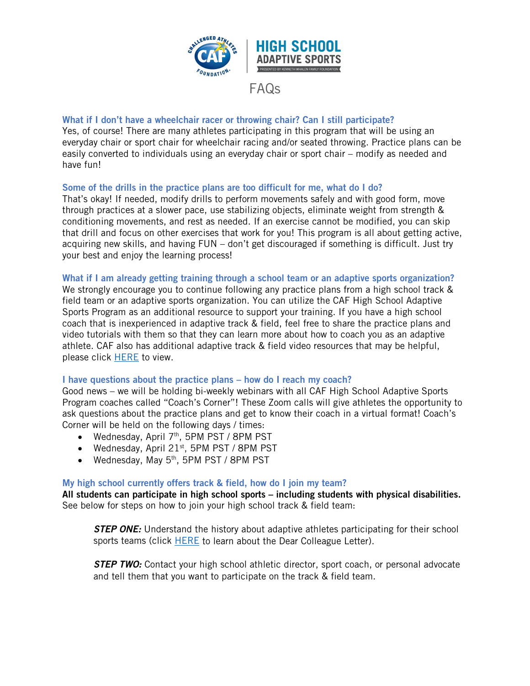

# FAQs

## What if I don't have a wheelchair racer or throwing chair? Can I still participate?

Yes, of course! There are many athletes participating in this program that will be using an everyday chair or sport chair for wheelchair racing and/or seated throwing. Practice plans can be easily converted to individuals using an everyday chair or sport chair – modify as needed and have fun!

### Some of the drills in the practice plans are too difficult for me, what do I do?

That's okay! If needed, modify drills to perform movements safely and with good form, move through practices at a slower pace, use stabilizing objects, eliminate weight from strength & conditioning movements, and rest as needed. If an exercise cannot be modified, you can skip that drill and focus on other exercises that work for you! This program is all about getting active, acquiring new skills, and having FUN – don't get discouraged if something is difficult. Just try your best and enjoy the learning process!

#### What if I am already getting training through a school team or an adaptive sports organization?

We strongly encourage you to continue following any practice plans from a high school track & field team or an adaptive sports organization. You can utilize the CAF High School Adaptive Sports Program as an additional resource to support your training. If you have a high school coach that is inexperienced in adaptive track & field, feel free to share the practice plans and video tutorials with them so that they can learn more about how to coach you as an adaptive athlete. CAF also has additional adaptive track & field video resources that may be helpful, please click [HERE](https://www.challengedathletes.org/track-field-videos/) to view.

#### I have questions about the practice plans – how do I reach my coach?

Good news – we will be holding bi-weekly webinars with all CAF High School Adaptive Sports Program coaches called "Coach's Corner"! These Zoom calls will give athletes the opportunity to ask questions about the practice plans and get to know their coach in a virtual format! Coach's Corner will be held on the following days / times:

- Wednesday, April 7<sup>th</sup>, 5PM PST / 8PM PST
- Wednesday, April  $21^{st}$ , 5PM PST / 8PM PST
- Wednesday, May 5<sup>th</sup>, 5PM PST / 8PM PST

#### My high school currently offers track & field, how do I join my team?

All students can participate in high school sports – including students with physical disabilities. See below for steps on how to join your high school track & field team:

**STEP ONE:** Understand the history about adaptive athletes participating for their school sports teams (click **HERE** to learn about the Dear Colleague Letter).

*STEP TWO:* Contact your high school athletic director, sport coach, or personal advocate and tell them that you want to participate on the track & field team.